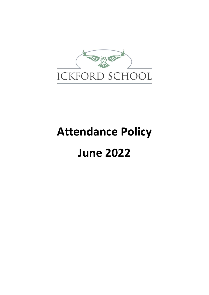

# **Attendance Policy June 2022**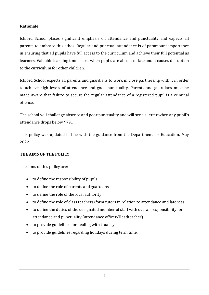# **Rationale**

Ickford School places significant emphasis on attendance and punctuality and expects all parents to embrace this ethos. Regular and punctual attendance is of paramount importance in ensuring that all pupils have full access to the curriculum and achieve their full potential as learners. Valuable learning time is lost when pupils are absent or late and it causes disruption to the curriculum for other children.

Ickford School expects all parents and guardians to work in close partnership with it in order to achieve high levels of attendance and good punctuality. Parents and guardians must be made aware that failure to secure the regular attendance of a registered pupil is a criminal offence.

The school will challenge absence and poor punctuality and will send a letter when any pupil's attendance drops below 97%.

This policy was updated in line with the guidance from the Department for Education, May 2022.

#### **THE AIMS OF THE POLICY**

The aims of this policy are:

- to define the responsibility of pupils
- to define the role of parents and guardians
- to define the role of the local authority
- to define the role of class teachers/form tutors in relation to attendance and lateness
- to define the duties of the designated member of staff with overall responsibility for attendance and punctuality (attendance officer/Headteacher)
- to provide guidelines for dealing with truancy
- to provide guidelines regarding holidays during term time.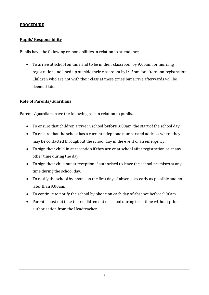#### **PROCEDURE**

#### **Pupils' Responsibility**

Pupils have the following responsibilities in relation to attendance.

• To arrive at school on time and to be in their classroom by 9:00am for morning registration and lined up outside their classroom by1:15pm for afternoon registration. Children who are not with their class at these times but arrive afterwards will be deemed late.

#### **Role of Parents/Guardians**

Parents/guardians have the following role in relation to pupils.

- To ensure that children arrive in school **before** 9:00am, the start of the school day.
- To ensure that the school has a current telephone number and address where they may be contacted throughout the school day in the event of an emergency.
- To sign their child in at reception if they arrive at school after registration or at any other time during the day.
- To sign their child out at reception if authorised to leave the school premises at any time during the school day.
- To notify the school by phone on the first day of absence as early as possible and no later than 9.00am.
- To continue to notify the school by phone on each day of absence before 9.00am
- Parents must not take their children out of school during term time without prior authorisation from the Headteacher.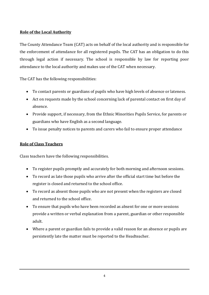# **Role of the Local Authority**

The County Attendance Team (CAT) acts on behalf of the local authority and is responsible for the enforcement of attendance for all registered pupils. The CAT has an obligation to do this through legal action if necessary. The school is responsible by law for reporting poor attendance to the local authority and makes use of the CAT when necessary.

The CAT has the following responsibilities:

- To contact parents or guardians of pupils who have high levels of absence or lateness.
- Act on requests made by the school concerning lack of parental contact on first day of absence.
- Provide support, if necessary, from the Ethnic Minorities Pupils Service, for parents or guardians who have English as a second language.
- To issue penalty notices to parents and carers who fail to ensure proper attendance

#### **Role of Class Teachers**

Class teachers have the following responsibilities.

- To register pupils promptly and accurately for both morning and afternoon sessions.
- To record as late those pupils who arrive after the official start time but before the register is closed and returned to the school office.
- To record as absent those pupils who are not present when the registers are closed and returned to the school office.
- To ensure that pupils who have been recorded as absent for one or more sessions provide a written or verbal explanation from a parent, guardian or other responsible adult.
- Where a parent or guardian fails to provide a valid reason for an absence or pupils are persistently late the matter must be reported to the Headteacher.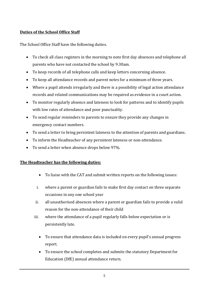# **Duties of the School Office Staff**

The School Office Staff have the following duties.

- To check all class registers in the morning to note first day absences and telephone all parents who have not contacted the school by 9.30am.
- To keep records of all telephone calls and keep letters concerning absence.
- To keep all attendance records and parent notes for a minimum of three years.
- Where a pupil attends irregularly and there is a possibility of legal action attendance records and related communications may be required as evidence in a court action.
- To monitor regularly absence and lateness to look for patterns and to identify pupils with low rates of attendance and poor punctuality.
- To send regular reminders to parents to ensure they provide any changes in emergency contact numbers.
- To send a letter to bring persistent lateness to the attention of parents and guardians.
- To inform the Headteacher of any persistent lateness or non-attendance.
- To send a letter when absence drops below 97%.

#### **The Headteacher has the following duties:**

- To liaise with the CAT and submit written reports on the following issues:
- i. where a parent or guardian fails to make first day contact on three separate occasions in any one school year
- ii. all unauthorised absences where a parent or guardian fails to provide a valid reason for the non-attendance of their child
- iii. where the attendance of a pupil regularly falls below expectation or is persistently late.
	- To ensure that attendance data is included on every pupil's annual progress report.
	- To ensure the school completes and submits the statutory Department for Education (DfE) annual attendance return.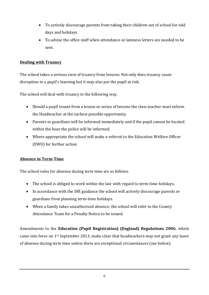- To actively discourage parents from taking their children out of school for odd days and holidays.
- To advise the office staff when attendance or lateness letters are needed to be sent.

# **Dealing with Truancy**

The school takes a serious view of truancy from lessons. Not only does truancy cause disruption to a pupil's learning but it may also put the pupil at risk.

The school will deal with truancy in the following way.

- Should a pupil truant from a lesson or series of lessons the class teacher must inform the Headteacher at the earliest possible opportunity.
- Parents or guardians will be informed immediately and if the pupil cannot be located within the hour the police will be informed.
- Where appropriate the school will make a referral to the Education Welfare Officer (EWO) for further action.

# **Absence in Term-Time**

The school rules for absence during term time are as follows.

- The school is obliged to work within the law with regard to term-time holidays.
- In accordance with the DfE guidance the school will actively discourage parents or guardians from planning term-time holidays.
- When a family takes unauthorised absence, the school will refer to the County Attendance Team for a Penalty Notice to be issued.

Amendments to the **[Education \(Pupil Registration\) \(England\) Regulations 2006](http://webarchive.nationalarchives.gov.uk/20131216163513/http:/www.legislation.gov.uk/uksi/2006/1751/contents/made)**, which came into force on 1st September 2013, make clear that headteachers may not grant any leave of absence during term time unless there are exceptional circumstances (see below).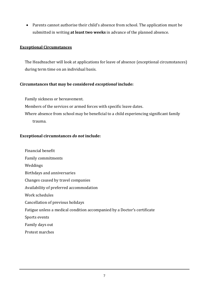• Parents cannot authorise their child's absence from school. The application must be submitted in writing **at least two weeks** in advance of the planned absence.

#### **Exceptional Circumstances**

The Headteacher will look at applications for leave of absence (exceptional circumstances) during term time on an individual basis.

#### **Circumstances that may be considered** *exceptional* **include:**

Family sickness or bereavement.

Members of the services or armed forces with specific leave dates.

Where absence from school may be beneficial to a child experiencing significant family trauma.

#### **Exceptional circumstances** *do not* **include:**

Financial benefit Family commitments Weddings Birthdays and anniversaries Changes caused by travel companies Availability of preferred accommodation Work schedules Cancellation of previous holidays Fatigue unless a medical condition accompanied by a Doctor's certificate Sports events Family days out Protest marches